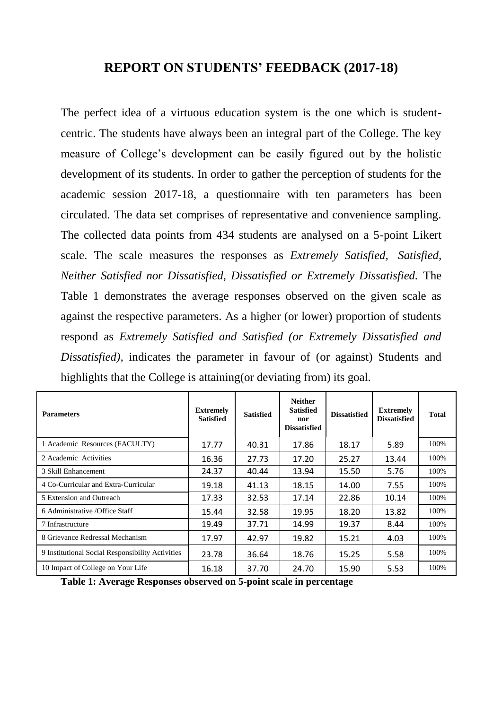## **REPORT ON STUDENTS' FEEDBACK (2017-18)**

The perfect idea of a virtuous education system is the one which is studentcentric. The students have always been an integral part of the College. The key measure of College's development can be easily figured out by the holistic development of its students. In order to gather the perception of students for the academic session 2017-18, a questionnaire with ten parameters has been circulated. The data set comprises of representative and convenience sampling. The collected data points from 434 students are analysed on a 5-point Likert scale. The scale measures the responses as *Extremely Satisfied, Satisfied, Neither Satisfied nor Dissatisfied, Dissatisfied or Extremely Dissatisfied.* The Table 1 demonstrates the average responses observed on the given scale as against the respective parameters. As a higher (or lower) proportion of students respond as *Extremely Satisfied and Satisfied (or Extremely Dissatisfied and Dissatisfied),* indicates the parameter in favour of (or against) Students and highlights that the College is attaining(or deviating from) its goal.

| <b>Parameters</b>                                | <b>Extremely</b><br><b>Satisfied</b> | <b>Satisfied</b> | <b>Neither</b><br><b>Satisfied</b><br>nor<br><b>Dissatisfied</b> | <b>Dissatisfied</b> | <b>Extremely</b><br><b>Dissatisfied</b> | <b>Total</b> |
|--------------------------------------------------|--------------------------------------|------------------|------------------------------------------------------------------|---------------------|-----------------------------------------|--------------|
| 1 Academic Resources (FACULTY)                   | 17.77                                | 40.31            | 17.86                                                            | 18.17               | 5.89                                    | 100%         |
| 2 Academic Activities                            | 16.36                                | 27.73            | 17.20                                                            | 25.27               | 13.44                                   | 100%         |
| 3 Skill Enhancement                              | 24.37                                | 40.44            | 13.94                                                            | 15.50               | 5.76                                    | 100%         |
| 4 Co-Curricular and Extra-Curricular             | 19.18                                | 41.13            | 18.15                                                            | 14.00               | 7.55                                    | 100%         |
| 5 Extension and Outreach                         | 17.33                                | 32.53            | 17.14                                                            | 22.86               | 10.14                                   | 100%         |
| 6 Administrative / Office Staff                  | 15.44                                | 32.58            | 19.95                                                            | 18.20               | 13.82                                   | 100%         |
| 7 Infrastructure                                 | 19.49                                | 37.71            | 14.99                                                            | 19.37               | 8.44                                    | 100%         |
| 8 Grievance Redressal Mechanism                  | 17.97                                | 42.97            | 19.82                                                            | 15.21               | 4.03                                    | 100%         |
| 9 Institutional Social Responsibility Activities | 23.78                                | 36.64            | 18.76                                                            | 15.25               | 5.58                                    | 100%         |
| 10 Impact of College on Your Life                | 16.18                                | 37.70            | 24.70                                                            | 15.90               | 5.53                                    | 100%         |

**Table 1: Average Responses observed on 5-point scale in percentage**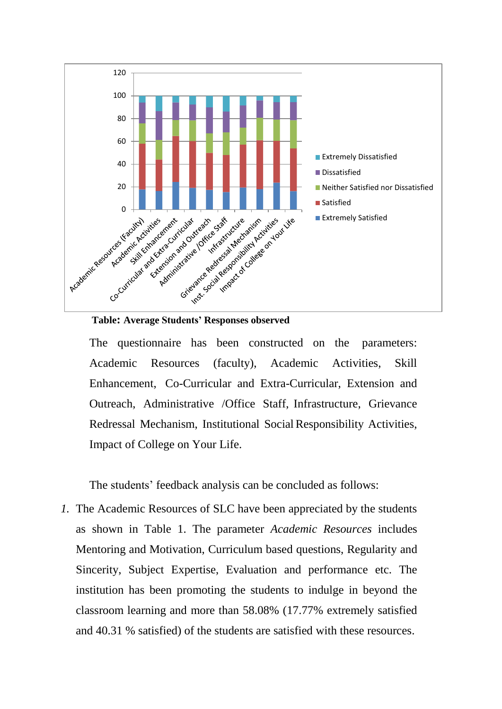

The questionnaire has been constructed on the parameters: Academic Resources (faculty), Academic Activities, Skill Enhancement, Co-Curricular and Extra-Curricular, Extension and Outreach, Administrative /Office Staff, Infrastructure, Grievance Redressal Mechanism, Institutional Social Responsibility Activities, Impact of College on Your Life.

The students' feedback analysis can be concluded as follows:

*1.* The Academic Resources of SLC have been appreciated by the students as shown in Table 1. The parameter *Academic Resources* includes Mentoring and Motivation, Curriculum based questions, Regularity and Sincerity, Subject Expertise, Evaluation and performance etc. The institution has been promoting the students to indulge in beyond the classroom learning and more than 58.08% (17.77% extremely satisfied and 40.31 % satisfied) of the students are satisfied with these resources.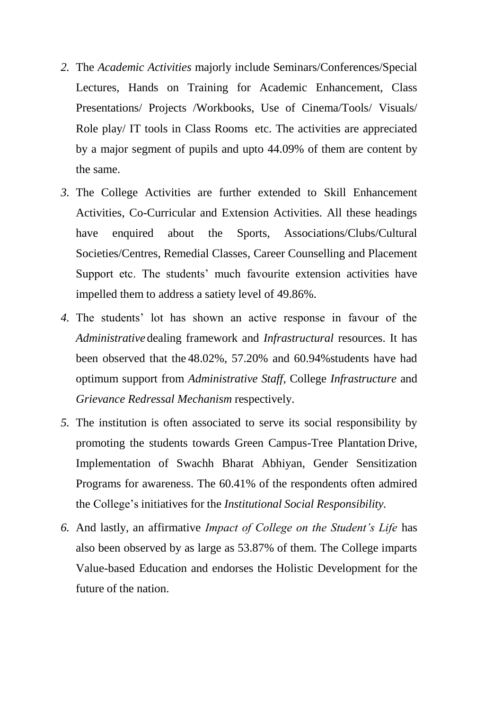- *2.* The *Academic Activities* majorly include Seminars/Conferences/Special Lectures, Hands on Training for Academic Enhancement, Class Presentations/ Projects /Workbooks, Use of Cinema/Tools/ Visuals/ Role play/ IT tools in Class Rooms etc. The activities are appreciated by a major segment of pupils and upto 44.09% of them are content by the same.
- *3.* The College Activities are further extended to Skill Enhancement Activities, Co-Curricular and Extension Activities. All these headings have enquired about the Sports, Associations/Clubs/Cultural Societies/Centres, Remedial Classes, Career Counselling and Placement Support etc. The students' much favourite extension activities have impelled them to address a satiety level of 49.86%.
- *4.* The students' lot has shown an active response in favour of the *Administrative* dealing framework and *Infrastructural* resources. It has been observed that the 48.02%, 57.20% and 60.94%students have had optimum support from *Administrative Staff*, College *Infrastructure* and *Grievance Redressal Mechanism* respectively.
- *5.* The institution is often associated to serve its social responsibility by promoting the students towards Green Campus-Tree Plantation Drive, Implementation of Swachh Bharat Abhiyan, Gender Sensitization Programs for awareness. The 60.41% of the respondents often admired the College's initiatives for the *Institutional Social Responsibility.*
- *6.* And lastly, an affirmative *Impact of College on the Student's Life* has also been observed by as large as 53.87% of them. The College imparts Value-based Education and endorses the Holistic Development for the future of the nation.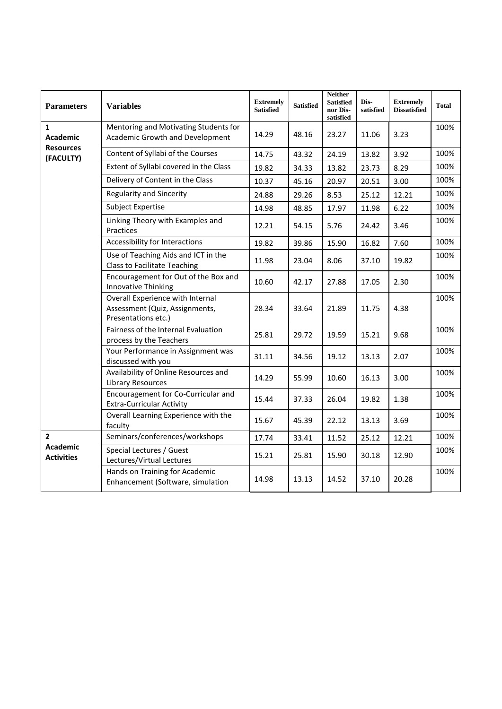| <b>Parameters</b>                                      | <b>Variables</b>                                                                          | <b>Extremely</b><br><b>Satisfied</b> | <b>Satisfied</b> | <b>Neither</b><br><b>Satisfied</b><br>nor Dis-<br>satisfied | Dis-<br>satisfied | <b>Extremely</b><br><b>Dissatisfied</b> | Total |
|--------------------------------------------------------|-------------------------------------------------------------------------------------------|--------------------------------------|------------------|-------------------------------------------------------------|-------------------|-----------------------------------------|-------|
| 1<br><b>Academic</b><br><b>Resources</b><br>(FACULTY)  | Mentoring and Motivating Students for<br>Academic Growth and Development                  | 14.29                                | 48.16            | 23.27                                                       | 11.06             | 3.23                                    | 100%  |
|                                                        | Content of Syllabi of the Courses                                                         | 14.75                                | 43.32            | 24.19                                                       | 13.82             | 3.92                                    | 100%  |
|                                                        | Extent of Syllabi covered in the Class                                                    | 19.82                                | 34.33            | 13.82                                                       | 23.73             | 8.29                                    | 100%  |
|                                                        | Delivery of Content in the Class                                                          | 10.37                                | 45.16            | 20.97                                                       | 20.51             | 3.00                                    | 100%  |
|                                                        | <b>Regularity and Sincerity</b>                                                           | 24.88                                | 29.26            | 8.53                                                        | 25.12             | 12.21                                   | 100%  |
|                                                        | <b>Subject Expertise</b>                                                                  | 14.98                                | 48.85            | 17.97                                                       | 11.98             | 6.22                                    | 100%  |
|                                                        | Linking Theory with Examples and<br>Practices                                             | 12.21                                | 54.15            | 5.76                                                        | 24.42             | 3.46                                    | 100%  |
|                                                        | Accessibility for Interactions                                                            | 19.82                                | 39.86            | 15.90                                                       | 16.82             | 7.60                                    | 100%  |
|                                                        | Use of Teaching Aids and ICT in the<br><b>Class to Facilitate Teaching</b>                | 11.98                                | 23.04            | 8.06                                                        | 37.10             | 19.82                                   | 100%  |
|                                                        | Encouragement for Out of the Box and<br>Innovative Thinking                               | 10.60                                | 42.17            | 27.88                                                       | 17.05             | 2.30                                    | 100%  |
|                                                        | Overall Experience with Internal<br>Assessment (Quiz, Assignments,<br>Presentations etc.) | 28.34                                | 33.64            | 21.89                                                       | 11.75             | 4.38                                    | 100%  |
|                                                        | Fairness of the Internal Evaluation<br>process by the Teachers                            | 25.81                                | 29.72            | 19.59                                                       | 15.21             | 9.68                                    | 100%  |
|                                                        | Your Performance in Assignment was<br>discussed with you                                  | 31.11                                | 34.56            | 19.12                                                       | 13.13             | 2.07                                    | 100%  |
|                                                        | Availability of Online Resources and<br><b>Library Resources</b>                          | 14.29                                | 55.99            | 10.60                                                       | 16.13             | 3.00                                    | 100%  |
|                                                        | Encouragement for Co-Curricular and<br><b>Extra-Curricular Activity</b>                   | 15.44                                | 37.33            | 26.04                                                       | 19.82             | 1.38                                    | 100%  |
|                                                        | Overall Learning Experience with the<br>faculty                                           | 15.67                                | 45.39            | 22.12                                                       | 13.13             | 3.69                                    | 100%  |
| $\overline{2}$<br><b>Academic</b><br><b>Activities</b> | Seminars/conferences/workshops                                                            | 17.74                                | 33.41            | 11.52                                                       | 25.12             | 12.21                                   | 100%  |
|                                                        | Special Lectures / Guest<br>Lectures/Virtual Lectures                                     | 15.21                                | 25.81            | 15.90                                                       | 30.18             | 12.90                                   | 100%  |
|                                                        | Hands on Training for Academic<br>Enhancement (Software, simulation                       | 14.98                                | 13.13            | 14.52                                                       | 37.10             | 20.28                                   | 100%  |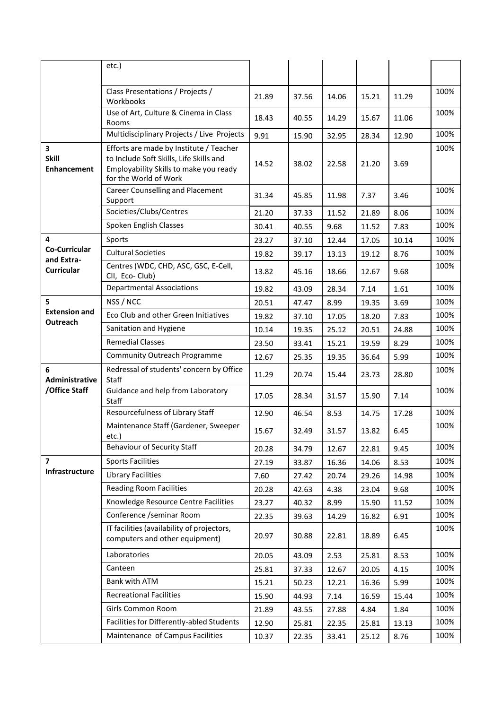|                                             | etc.)                                                                                                                                                 |       |       |       |       |       |      |
|---------------------------------------------|-------------------------------------------------------------------------------------------------------------------------------------------------------|-------|-------|-------|-------|-------|------|
|                                             |                                                                                                                                                       |       |       |       |       |       |      |
|                                             | Class Presentations / Projects /<br>Workbooks                                                                                                         | 21.89 | 37.56 | 14.06 | 15.21 | 11.29 | 100% |
|                                             | Use of Art, Culture & Cinema in Class<br>Rooms                                                                                                        | 18.43 | 40.55 | 14.29 | 15.67 | 11.06 | 100% |
|                                             | Multidisciplinary Projects / Live Projects                                                                                                            | 9.91  | 15.90 | 32.95 | 28.34 | 12.90 | 100% |
| 3<br><b>Skill</b><br><b>Enhancement</b>     | Efforts are made by Institute / Teacher<br>to Include Soft Skills, Life Skills and<br>Employability Skills to make you ready<br>for the World of Work | 14.52 | 38.02 | 22.58 | 21.20 | 3.69  | 100% |
|                                             | <b>Career Counselling and Placement</b><br>Support                                                                                                    | 31.34 | 45.85 | 11.98 | 7.37  | 3.46  | 100% |
|                                             | Societies/Clubs/Centres                                                                                                                               | 21.20 | 37.33 | 11.52 | 21.89 | 8.06  | 100% |
|                                             | Spoken English Classes                                                                                                                                | 30.41 | 40.55 | 9.68  | 11.52 | 7.83  | 100% |
| 4                                           | Sports                                                                                                                                                | 23.27 | 37.10 | 12.44 | 17.05 | 10.14 | 100% |
| Co-Curricular<br>and Extra-                 | <b>Cultural Societies</b>                                                                                                                             | 19.82 | 39.17 | 13.13 | 19.12 | 8.76  | 100% |
| <b>Curricular</b>                           | Centres (WDC, CHD, ASC, GSC, E-Cell,<br>CII, Eco-Club)                                                                                                | 13.82 | 45.16 | 18.66 | 12.67 | 9.68  | 100% |
|                                             | <b>Departmental Associations</b>                                                                                                                      | 19.82 | 43.09 | 28.34 | 7.14  | 1.61  | 100% |
| 5                                           | NSS / NCC                                                                                                                                             | 20.51 | 47.47 | 8.99  | 19.35 | 3.69  | 100% |
| <b>Extension and</b><br>Outreach            | Eco Club and other Green Initiatives                                                                                                                  | 19.82 | 37.10 | 17.05 | 18.20 | 7.83  | 100% |
|                                             | Sanitation and Hygiene                                                                                                                                | 10.14 | 19.35 | 25.12 | 20.51 | 24.88 | 100% |
|                                             | <b>Remedial Classes</b>                                                                                                                               | 23.50 | 33.41 | 15.21 | 19.59 | 8.29  | 100% |
|                                             | <b>Community Outreach Programme</b>                                                                                                                   | 12.67 | 25.35 | 19.35 | 36.64 | 5.99  | 100% |
| 6<br><b>Administrative</b><br>/Office Staff | Redressal of students' concern by Office<br>Staff                                                                                                     | 11.29 | 20.74 | 15.44 | 23.73 | 28.80 | 100% |
|                                             | Guidance and help from Laboratory<br>Staff                                                                                                            | 17.05 | 28.34 | 31.57 | 15.90 | 7.14  | 100% |
|                                             | Resourcefulness of Library Staff                                                                                                                      | 12.90 | 46.54 | 8.53  | 14.75 | 17.28 | 100% |
|                                             | Maintenance Staff (Gardener, Sweeper<br>etc.)                                                                                                         | 15.67 | 32.49 | 31.57 | 13.82 | 6.45  | 100% |
|                                             | <b>Behaviour of Security Staff</b>                                                                                                                    | 20.28 | 34.79 | 12.67 | 22.81 | 9.45  | 100% |
| $\overline{\phantom{a}}$                    | <b>Sports Facilities</b>                                                                                                                              | 27.19 | 33.87 | 16.36 | 14.06 | 8.53  | 100% |
| Infrastructure                              | <b>Library Facilities</b>                                                                                                                             | 7.60  | 27.42 | 20.74 | 29.26 | 14.98 | 100% |
|                                             | <b>Reading Room Facilities</b>                                                                                                                        | 20.28 | 42.63 | 4.38  | 23.04 | 9.68  | 100% |
|                                             | Knowledge Resource Centre Facilities                                                                                                                  | 23.27 | 40.32 | 8.99  | 15.90 | 11.52 | 100% |
|                                             | Conference /seminar Room                                                                                                                              | 22.35 | 39.63 | 14.29 | 16.82 | 6.91  | 100% |
|                                             | IT facilities (availability of projectors,<br>computers and other equipment)                                                                          | 20.97 | 30.88 | 22.81 | 18.89 | 6.45  | 100% |
|                                             | Laboratories                                                                                                                                          | 20.05 | 43.09 | 2.53  | 25.81 | 8.53  | 100% |
|                                             | Canteen                                                                                                                                               | 25.81 | 37.33 | 12.67 | 20.05 | 4.15  | 100% |
|                                             | Bank with ATM                                                                                                                                         | 15.21 | 50.23 | 12.21 | 16.36 | 5.99  | 100% |
|                                             | <b>Recreational Facilities</b>                                                                                                                        | 15.90 | 44.93 | 7.14  | 16.59 | 15.44 | 100% |
|                                             | Girls Common Room                                                                                                                                     | 21.89 | 43.55 | 27.88 | 4.84  | 1.84  | 100% |
|                                             | Facilities for Differently-abled Students                                                                                                             | 12.90 | 25.81 | 22.35 | 25.81 | 13.13 | 100% |
|                                             | Maintenance of Campus Facilities                                                                                                                      | 10.37 | 22.35 | 33.41 | 25.12 | 8.76  | 100% |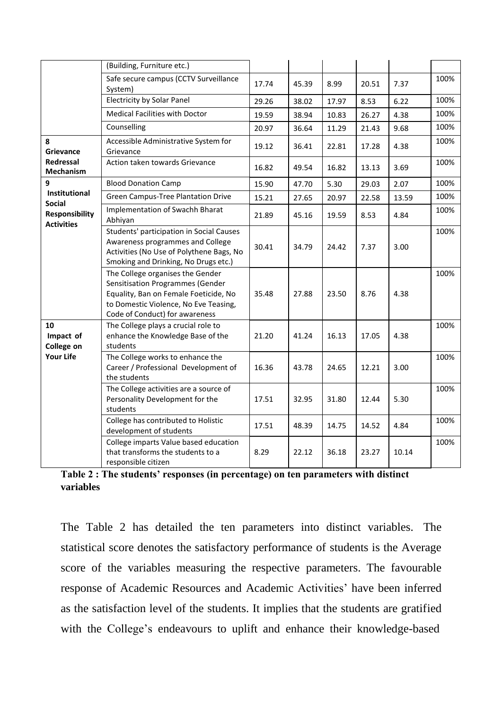|                                                             | (Building, Furniture etc.)                                                                                                                                                               |       |       |       |       |       |      |
|-------------------------------------------------------------|------------------------------------------------------------------------------------------------------------------------------------------------------------------------------------------|-------|-------|-------|-------|-------|------|
|                                                             | Safe secure campus (CCTV Surveillance<br>System)                                                                                                                                         | 17.74 | 45.39 | 8.99  | 20.51 | 7.37  | 100% |
|                                                             | <b>Electricity by Solar Panel</b>                                                                                                                                                        | 29.26 | 38.02 | 17.97 | 8.53  | 6.22  | 100% |
|                                                             | <b>Medical Facilities with Doctor</b>                                                                                                                                                    | 19.59 | 38.94 | 10.83 | 26.27 | 4.38  | 100% |
|                                                             | Counselling                                                                                                                                                                              | 20.97 | 36.64 | 11.29 | 21.43 | 9.68  | 100% |
| 8<br>Grievance                                              | Accessible Administrative System for<br>Grievance                                                                                                                                        | 19.12 | 36.41 | 22.81 | 17.28 | 4.38  | 100% |
| <b>Redressal</b><br>Mechanism                               | Action taken towards Grievance                                                                                                                                                           | 16.82 | 49.54 | 16.82 | 13.13 | 3.69  | 100% |
| 9                                                           | <b>Blood Donation Camp</b>                                                                                                                                                               | 15.90 | 47.70 | 5.30  | 29.03 | 2.07  | 100% |
| Institutional                                               | <b>Green Campus-Tree Plantation Drive</b>                                                                                                                                                | 15.21 | 27.65 | 20.97 | 22.58 | 13.59 | 100% |
| <b>Social</b><br><b>Responsibility</b><br><b>Activities</b> | Implementation of Swachh Bharat<br>Abhiyan                                                                                                                                               | 21.89 | 45.16 | 19.59 | 8.53  | 4.84  | 100% |
|                                                             | Students' participation in Social Causes<br>Awareness programmes and College<br>Activities (No Use of Polythene Bags, No<br>Smoking and Drinking, No Drugs etc.)                         | 30.41 | 34.79 | 24.42 | 7.37  | 3.00  | 100% |
|                                                             | The College organises the Gender<br>Sensitisation Programmes (Gender<br>Equality, Ban on Female Foeticide, No<br>to Domestic Violence, No Eve Teasing,<br>Code of Conduct) for awareness | 35.48 | 27.88 | 23.50 | 8.76  | 4.38  | 100% |
| 10<br>Impact of<br>College on<br><b>Your Life</b>           | The College plays a crucial role to<br>enhance the Knowledge Base of the<br>students                                                                                                     | 21.20 | 41.24 | 16.13 | 17.05 | 4.38  | 100% |
|                                                             | The College works to enhance the<br>Career / Professional Development of<br>the students                                                                                                 | 16.36 | 43.78 | 24.65 | 12.21 | 3.00  | 100% |
|                                                             | The College activities are a source of<br>Personality Development for the<br>students                                                                                                    | 17.51 | 32.95 | 31.80 | 12.44 | 5.30  | 100% |
|                                                             | College has contributed to Holistic<br>development of students                                                                                                                           | 17.51 | 48.39 | 14.75 | 14.52 | 4.84  | 100% |
|                                                             | College imparts Value based education<br>that transforms the students to a<br>responsible citizen                                                                                        | 8.29  | 22.12 | 36.18 | 23.27 | 10.14 | 100% |

**Table 2 : The students' responses (in percentage) on ten parameters with distinct variables**

The Table 2 has detailed the ten parameters into distinct variables. The statistical score denotes the satisfactory performance of students is the Average score of the variables measuring the respective parameters. The favourable response of Academic Resources and Academic Activities' have been inferred as the satisfaction level of the students. It implies that the students are gratified with the College's endeavours to uplift and enhance their knowledge-based